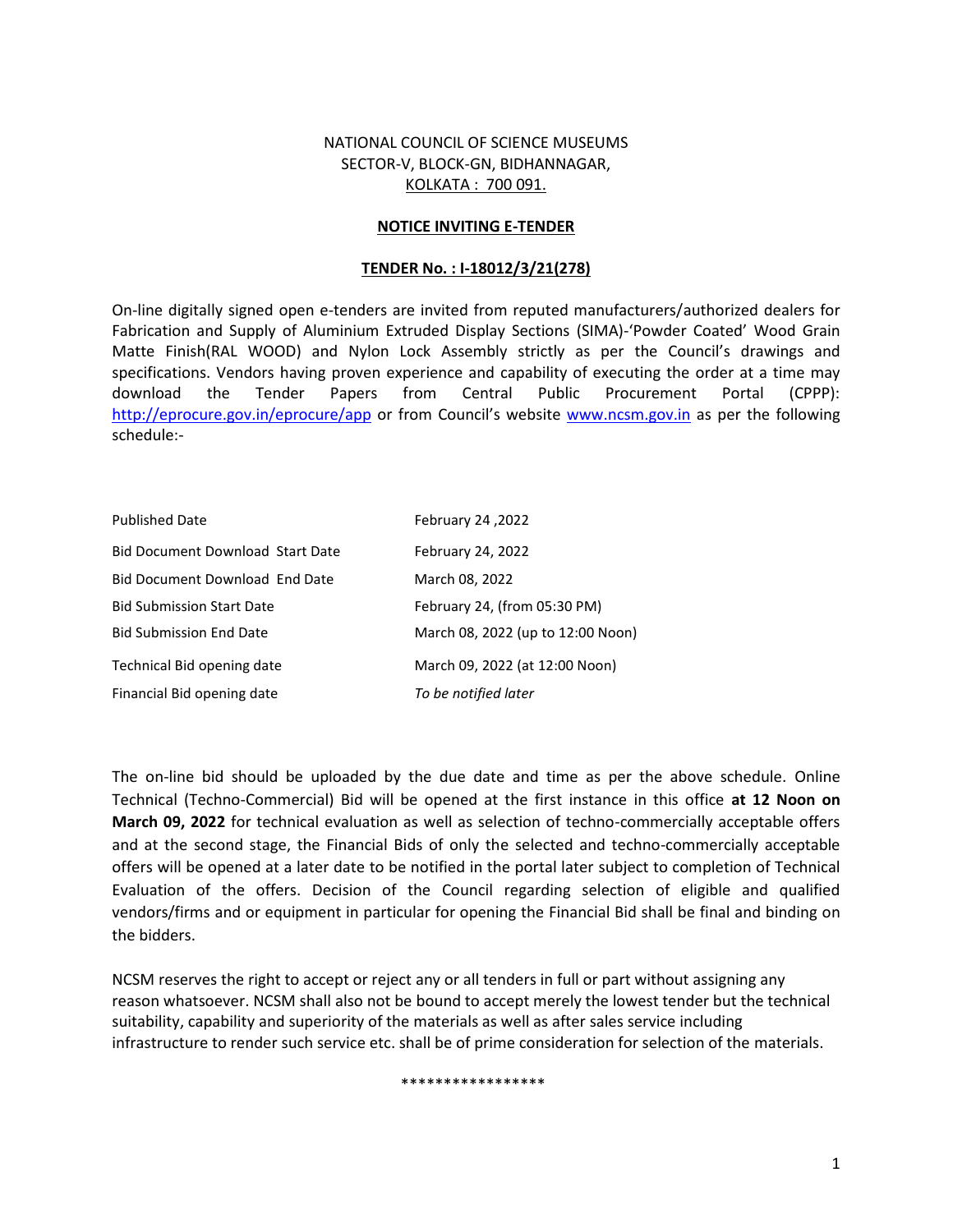### NATIONAL COUNCIL OF SCIENCE MUSEUMS SECTOR-V, BLOCK-GN, BIDHANNAGAR, KOLKATA : 700 091.

#### **NOTICE INVITING E-TENDER**

#### **TENDER No. : I-18012/3/21(278)**

On-line digitally signed open e-tenders are invited from reputed manufacturers/authorized dealers for Fabrication and Supply of Aluminium Extruded Display Sections (SIMA)-'Powder Coated' Wood Grain Matte Finish(RAL WOOD) and Nylon Lock Assembly strictly as per the Council's drawings and specifications. Vendors having proven experience and capability of executing the order at a time may download the Tender Papers from Central Public Procurement Portal (CPPP): http://eprocure.gov.in/eprocure/app or from Council's website www.ncsm.gov.in as per the following schedule:-

| <b>Published Date</b>                   | February 24, 2022                 |
|-----------------------------------------|-----------------------------------|
| <b>Bid Document Download Start Date</b> | February 24, 2022                 |
| Bid Document Download End Date          | March 08, 2022                    |
| <b>Bid Submission Start Date</b>        | February 24, (from 05:30 PM)      |
| <b>Bid Submission End Date</b>          | March 08, 2022 (up to 12:00 Noon) |
| Technical Bid opening date              | March 09, 2022 (at 12:00 Noon)    |
| Financial Bid opening date              | To be notified later              |

The on-line bid should be uploaded by the due date and time as per the above schedule. Online Technical (Techno-Commercial) Bid will be opened at the first instance in this office **at 12 Noon on March 09, 2022** for technical evaluation as well as selection of techno-commercially acceptable offers and at the second stage, the Financial Bids of only the selected and techno-commercially acceptable offers will be opened at a later date to be notified in the portal later subject to completion of Technical Evaluation of the offers. Decision of the Council regarding selection of eligible and qualified vendors/firms and or equipment in particular for opening the Financial Bid shall be final and binding on the bidders.

NCSM reserves the right to accept or reject any or all tenders in full or part without assigning any reason whatsoever. NCSM shall also not be bound to accept merely the lowest tender but the technical suitability, capability and superiority of the materials as well as after sales service including infrastructure to render such service etc. shall be of prime consideration for selection of the materials.

#### \*\*\*\*\*\*\*\*\*\*\*\*\*\*\*\*\*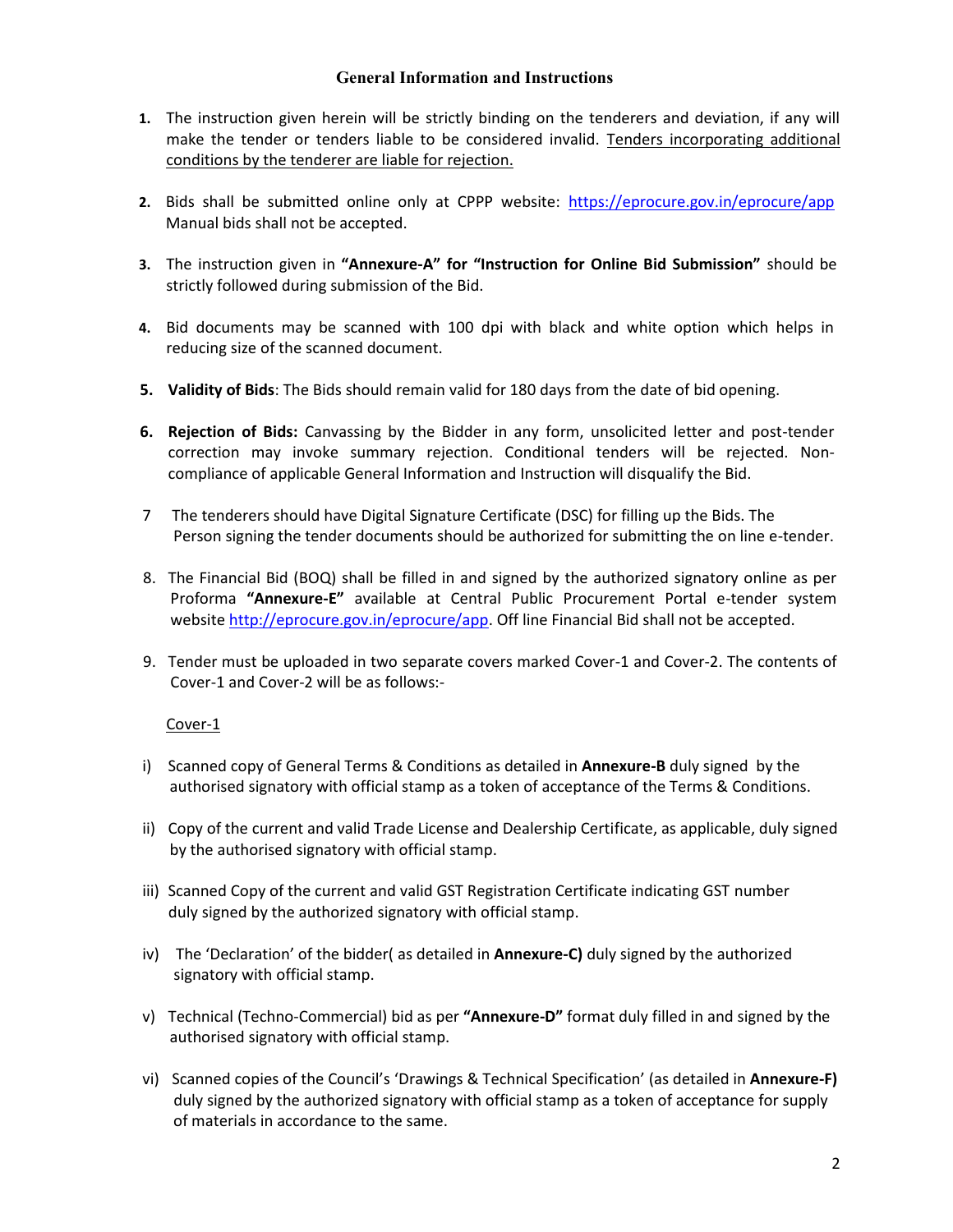### **General Information and Instructions**

- **1.** The instruction given herein will be strictly binding on the tenderers and deviation, if any will make the tender or tenders liable to be considered invalid. Tenders incorporating additional conditions by the tenderer are liable for rejection.
- **2.** Bids shall be submitted online only at CPPP website: https://eprocure.gov.in/eprocure/app Manual bids shall not be accepted.
- **3.** The instruction given in **"Annexure-A" for "Instruction for Online Bid Submission"** should be strictly followed during submission of the Bid.
- **4.** Bid documents may be scanned with 100 dpi with black and white option which helps in reducing size of the scanned document.
- **5. Validity of Bids**: The Bids should remain valid for 180 days from the date of bid opening.
- **6. Rejection of Bids:** Canvassing by the Bidder in any form, unsolicited letter and post-tender correction may invoke summary rejection. Conditional tenders will be rejected. Non compliance of applicable General Information and Instruction will disqualify the Bid.
- 7 The tenderers should have Digital Signature Certificate (DSC) for filling up the Bids. The Person signing the tender documents should be authorized for submitting the on line e-tender.
- 8. The Financial Bid (BOQ) shall be filled in and signed by the authorized signatory online as per Proforma **"Annexure-E"** available at Central Public Procurement Portal e-tender system website http://eprocure.gov.in/eprocure/app. Off line Financial Bid shall not be accepted.
- 9. Tender must be uploaded in two separate covers marked Cover-1 and Cover-2. The contents of Cover-1 and Cover-2 will be as follows:-

### Cover-1

- i) Scanned copy of General Terms & Conditions as detailed in **Annexure-B** duly signed by the authorised signatory with official stamp as a token of acceptance of the Terms & Conditions.
- ii) Copy of the current and valid Trade License and Dealership Certificate, as applicable, duly signed by the authorised signatory with official stamp.
- iii) Scanned Copy of the current and valid GST Registration Certificate indicating GST number duly signed by the authorized signatory with official stamp.
- iv) The 'Declaration' of the bidder( as detailed in **Annexure-C)** duly signed by the authorized signatory with official stamp.
- v) Technical (Techno-Commercial) bid as per **"Annexure-D"** format duly filled in and signed by the authorised signatory with official stamp.
- vi) Scanned copies of the Council's 'Drawings & Technical Specification' (as detailed in **Annexure-F)** duly signed by the authorized signatory with official stamp as a token of acceptance for supply of materials in accordance to the same.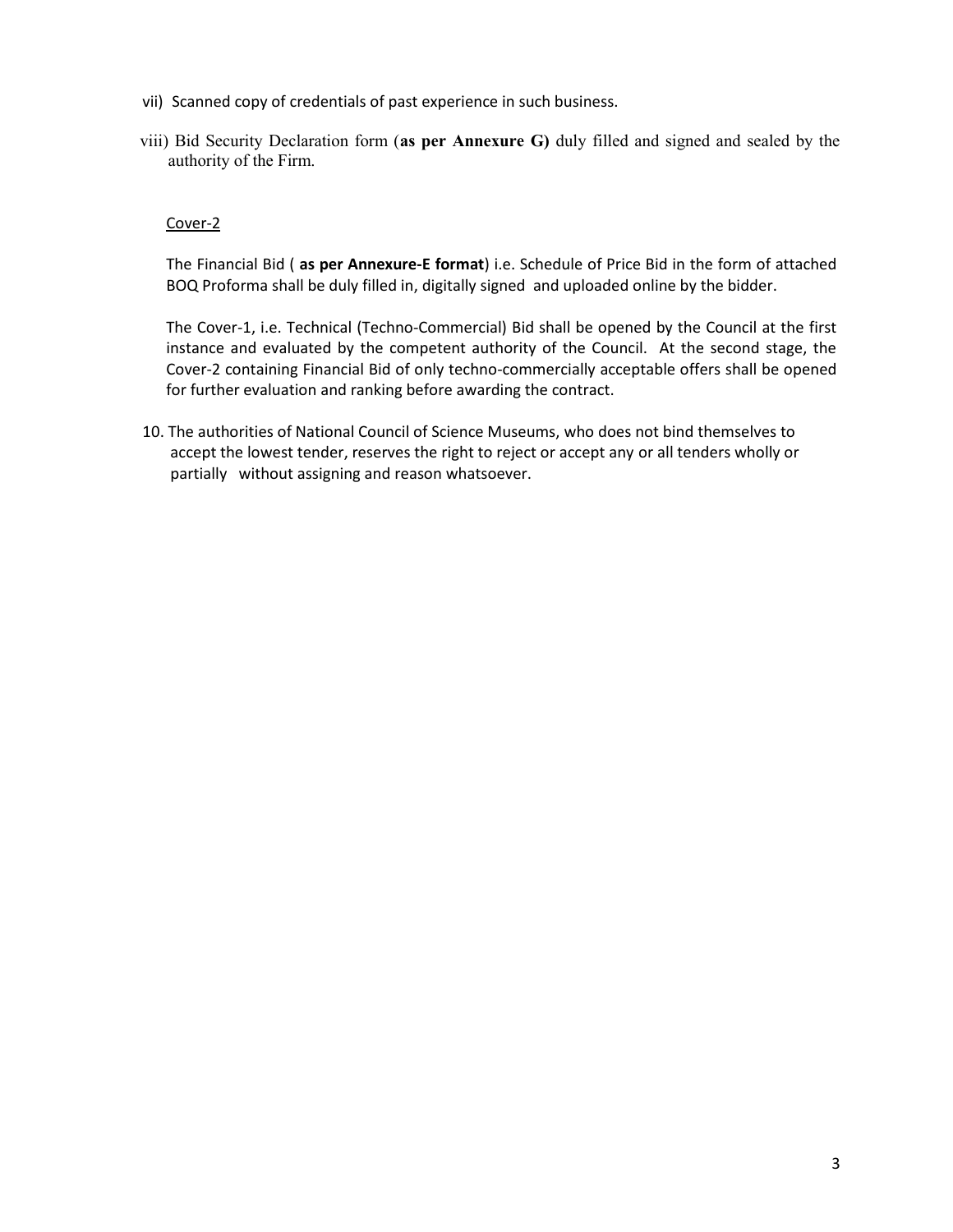- vii) Scanned copy of credentials of past experience in such business.
- viii) Bid Security Declaration form (**as per Annexure G)** duly filled and signed and sealed by the authority of the Firm.

#### Cover-2

The Financial Bid ( **as per Annexure-E format**) i.e. Schedule of Price Bid in the form of attached BOQ Proforma shall be duly filled in, digitally signed and uploaded online by the bidder.

The Cover-1, i.e. Technical (Techno-Commercial) Bid shall be opened by the Council at the first instance and evaluated by the competent authority of the Council. At the second stage, the Cover-2 containing Financial Bid of only techno-commercially acceptable offers shall be opened for further evaluation and ranking before awarding the contract.

10. The authorities of National Council of Science Museums, who does not bind themselves to accept the lowest tender, reserves the right to reject or accept any or all tenders wholly or partially without assigning and reason whatsoever.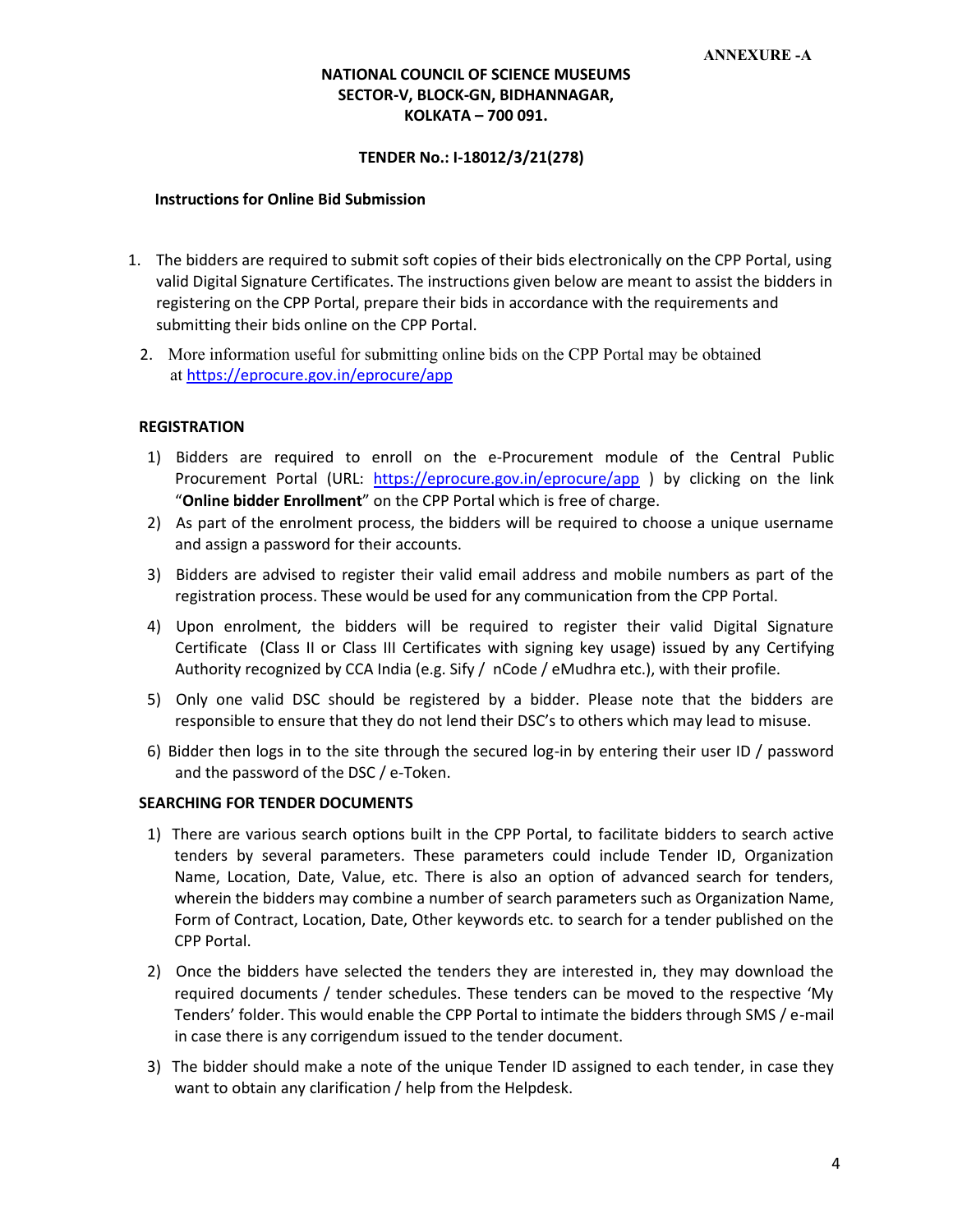### **NATIONAL COUNCIL OF SCIENCE MUSEUMS SECTOR-V, BLOCK-GN, BIDHANNAGAR, KOLKATA – 700 091.**

#### **TENDER No.: I-18012/3/21(278)**

#### **Instructions for Online Bid Submission**

- 1. The bidders are required to submit soft copies of their bids electronically on the CPP Portal, using valid Digital Signature Certificates. The instructions given below are meant to assist the bidders in registering on the CPP Portal, prepare their bids in accordance with the requirements and submitting their bids online on the CPP Portal.
	- 2. More information useful for submitting online bids on the CPP Portal may be obtained at https://eprocure.gov.in/eprocure/app

#### **REGISTRATION**

- 1) Bidders are required to enroll on the e-Procurement module of the Central Public Procurement Portal (URL: https://eprocure.gov.in/eprocure/app ) by clicking on the link "**Online bidder Enrollment**" on the CPP Portal which is free of charge.
- 2) As part of the enrolment process, the bidders will be required to choose a unique username and assign a password for their accounts.
- 3) Bidders are advised to register their valid email address and mobile numbers as part of the registration process. These would be used for any communication from the CPP Portal.
- 4) Upon enrolment, the bidders will be required to register their valid Digital Signature Certificate (Class II or Class III Certificates with signing key usage) issued by any Certifying Authority recognized by CCA India (e.g. Sify / nCode / eMudhra etc.), with their profile.
- 5) Only one valid DSC should be registered by a bidder. Please note that the bidders are responsible to ensure that they do not lend their DSC's to others which may lead to misuse.
- 6) Bidder then logs in to the site through the secured log-in by entering their user ID / password and the password of the DSC / e-Token.

#### **SEARCHING FOR TENDER DOCUMENTS**

- 1) There are various search options built in the CPP Portal, to facilitate bidders to search active tenders by several parameters. These parameters could include Tender ID, Organization Name, Location, Date, Value, etc. There is also an option of advanced search for tenders, wherein the bidders may combine a number of search parameters such as Organization Name, Form of Contract, Location, Date, Other keywords etc. to search for a tender published on the CPP Portal.
- 2) Once the bidders have selected the tenders they are interested in, they may download the required documents / tender schedules. These tenders can be moved to the respective 'My Tenders' folder. This would enable the CPP Portal to intimate the bidders through SMS / e-mail in case there is any corrigendum issued to the tender document.
- 3) The bidder should make a note of the unique Tender ID assigned to each tender, in case they want to obtain any clarification / help from the Helpdesk.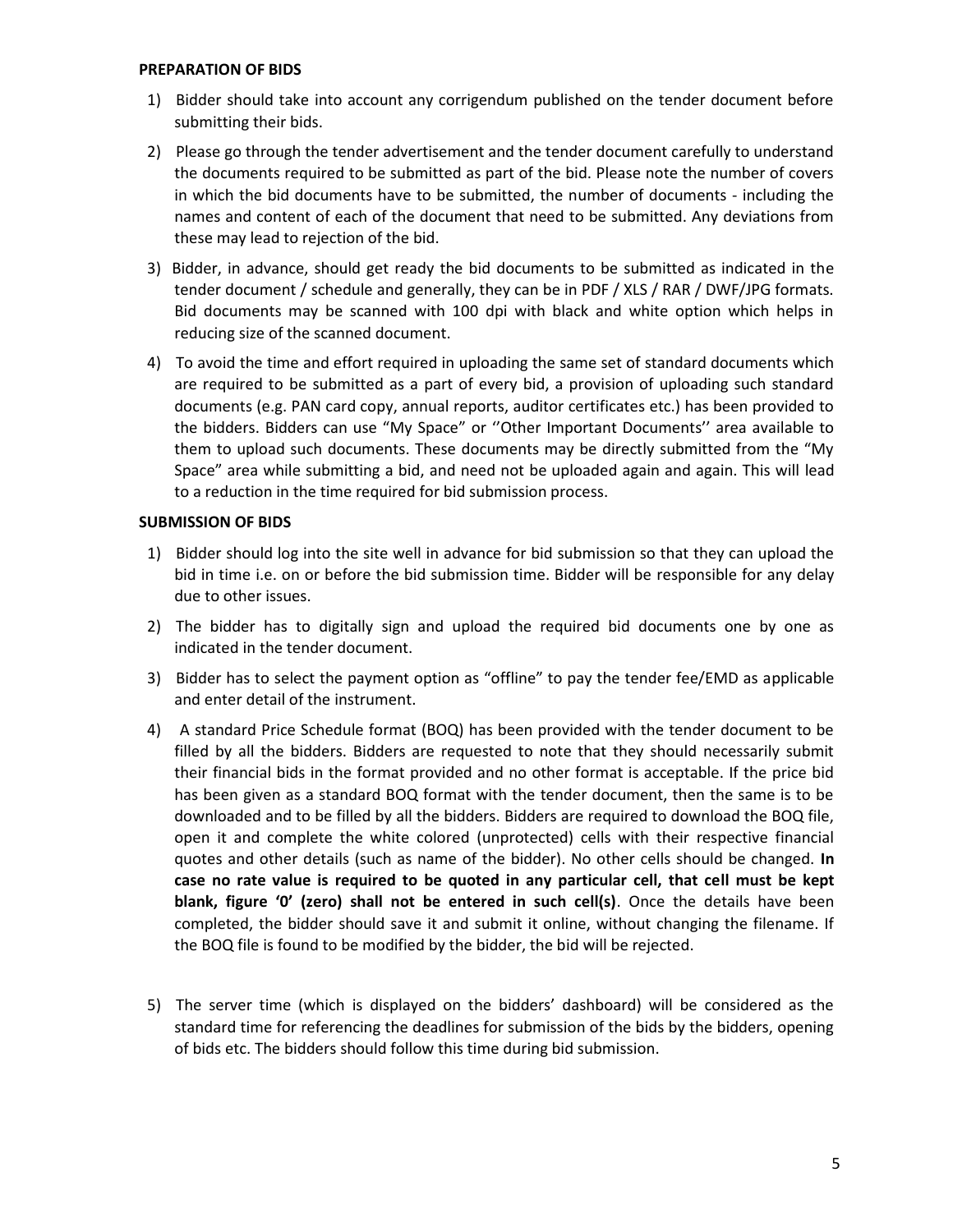#### **PREPARATION OF BIDS**

- 1) Bidder should take into account any corrigendum published on the tender document before submitting their bids.
- 2) Please go through the tender advertisement and the tender document carefully to understand the documents required to be submitted as part of the bid. Please note the number of covers in which the bid documents have to be submitted, the number of documents -including the names and content of each of the document that need to be submitted. Any deviations from these may lead to rejection of the bid.
- 3) Bidder, in advance, should get ready the bid documents to be submitted as indicated in the tender document / schedule and generally, they can be in PDF / XLS / RAR / DWF/JPG formats. Bid documents may be scanned with 100 dpi with black and white option which helps in reducing size of the scanned document.
- 4) To avoid the time and effort required in uploading the same set of standard documents which are required to be submitted as a part of every bid, a provision of uploading such standard documents (e.g. PAN card copy, annual reports, auditor certificates etc.) has been provided to the bidders. Bidders can use "My Space" or ''Other Important Documents'' area available to them to upload such documents. These documents may be directly submitted from the "My Space" area while submitting a bid, and need not be uploaded again and again. This will lead to a reduction in the time required for bid submission process.

### **SUBMISSION OF BIDS**

- 1) Bidder should log into the site well in advance for bid submission so that they can upload the bid in time i.e. on or before the bid submission time. Bidder will be responsible for any delay due to other issues.
- 2) The bidder has to digitally sign and upload the required bid documents one by one as indicated in the tender document.
- 3) Bidder has to select the payment option as "offline" to pay the tender fee/EMD as applicable and enter detail of the instrument.
- 4) A standard Price Schedule format (BOQ) has been provided with the tender document to be filled by all the bidders. Bidders are requested to note that they should necessarily submit their financial bids in the format provided and no other format is acceptable. If the price bid has been given as a standard BOQ format with the tender document, then the same is to be downloaded and to be filled by all the bidders. Bidders are required to download the BOQ file, open it and complete the white colored (unprotected) cells with their respective financial quotes and other details (such as name of the bidder). No other cells should be changed. **In case no rate value is required to be quoted in any particular cell, that cell must be kept blank, figure '0' (zero) shall not be entered in such cell(s)**. Once the details have been completed, the bidder should save it and submit it online, without changing the filename. If the BOQ file is found to be modified by the bidder, the bid will be rejected.
- 5) The server time (which is displayed on the bidders' dashboard) will be considered as the standard time for referencing the deadlines for submission of the bids by the bidders, opening of bids etc. The bidders should follow this time during bid submission.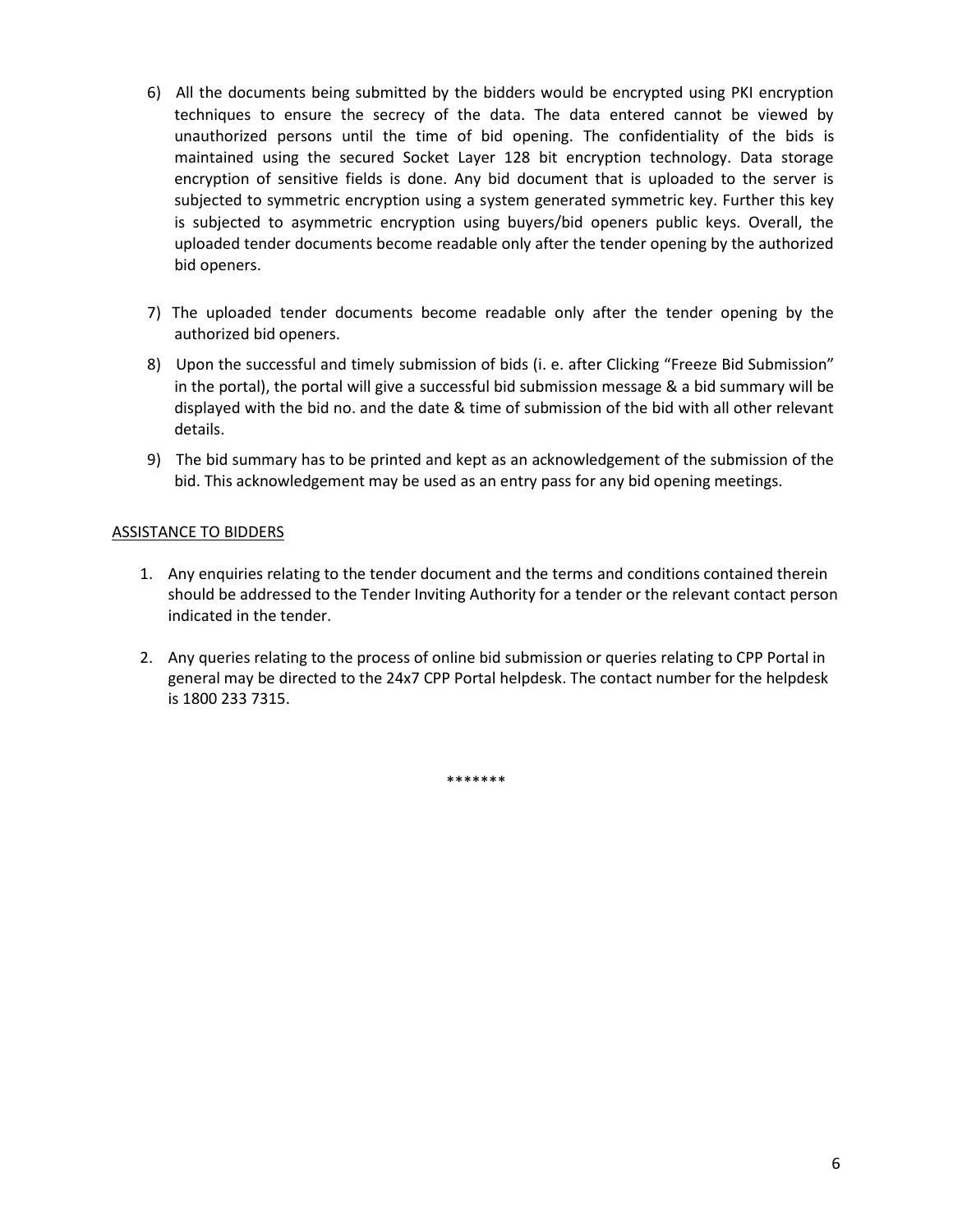- 6) All the documents being submitted by the bidders would be encrypted using PKI encryption techniques to ensure the secrecy of the data. The data entered cannot be viewed by unauthorized persons until the time of bid opening. The confidentiality of the bids is maintained using the secured Socket Layer 128 bit encryption technology. Data storage encryption of sensitive fields is done. Any bid document that is uploaded to the server is subjected to symmetric encryption using a system generated symmetric key. Further this key is subjected to asymmetric encryption using buyers/bid openers public keys. Overall, the uploaded tender documents become readable only after the tender opening by the authorized bid openers.
- 7) The uploaded tender documents become readable only after the tender opening by the authorized bid openers.
- 8) Upon the successful and timely submission of bids (i. e. after Clicking "Freeze Bid Submission" in the portal), the portal will give a successful bid submission message & a bid summary will be displayed with the bid no. and the date & time of submission of the bid with all other relevant details.
- 9) The bid summary has to be printed and kept as an acknowledgement of the submission of the bid. This acknowledgement may be used as an entry pass for any bid opening meetings.

### ASSISTANCE TO BIDDERS

- 1. Any enquiries relating to the tender document and the terms and conditions contained therein should be addressed to the Tender Inviting Authority for a tender or the relevant contact person indicated in the tender.
- 2. Any queries relating to the process of online bid submission or queries relating to CPP Portal in general may be directed to the 24x7 CPP Portal helpdesk. The contact number for the helpdesk is 1800 233 7315.

\*\*\*\*\*\*\*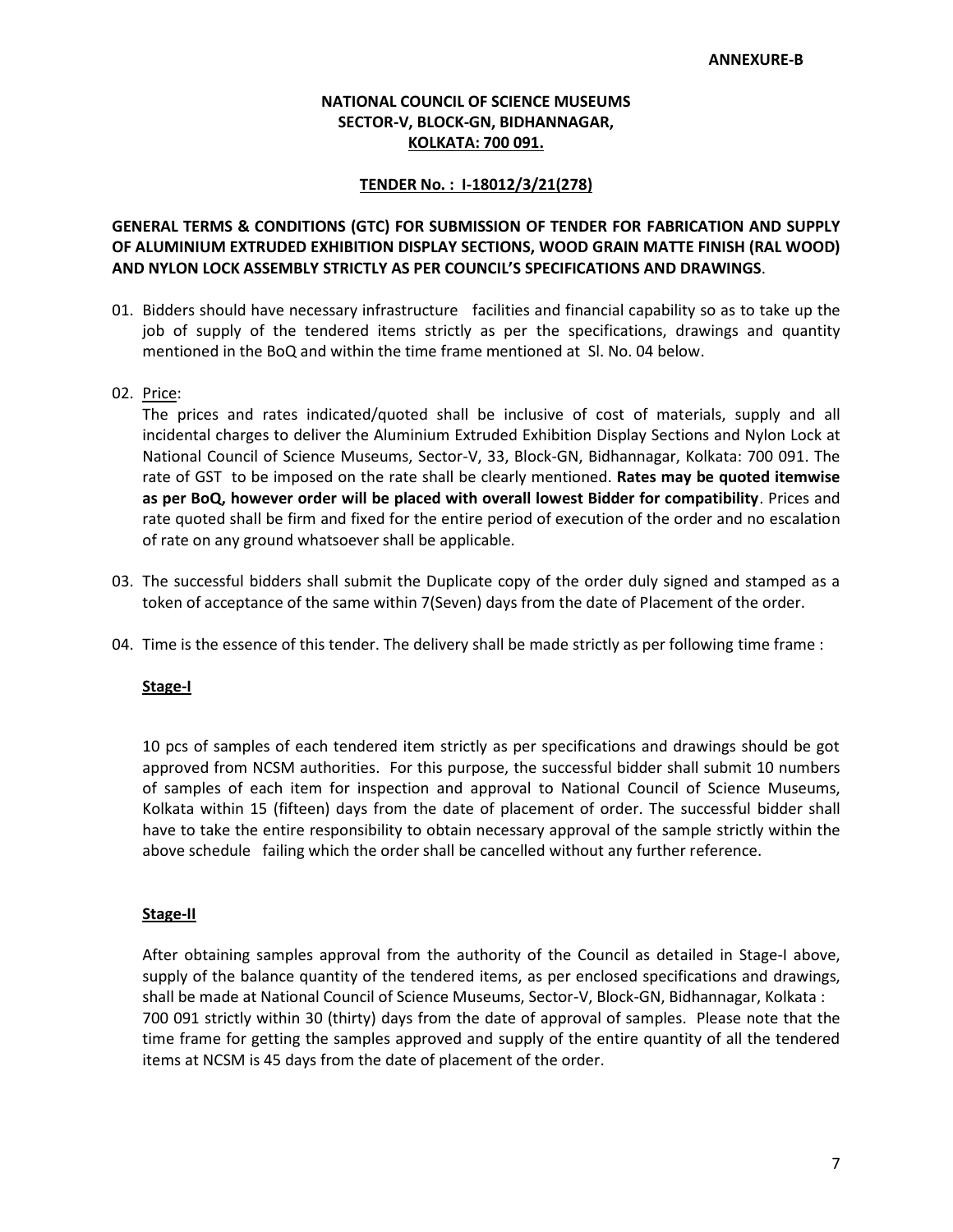### **NATIONAL COUNCIL OF SCIENCE MUSEUMS SECTOR-V, BLOCK-GN, BIDHANNAGAR, KOLKATA: 700 091.**

#### **TENDER No. : I-18012/3/21(278)**

### **GENERAL TERMS & CONDITIONS (GTC) FOR SUBMISSION OF TENDER FOR FABRICATION AND SUPPLY OF ALUMINIUM EXTRUDED EXHIBITION DISPLAY SECTIONS, WOOD GRAIN MATTE FINISH (RAL WOOD) AND NYLON LOCK ASSEMBLY STRICTLY AS PER COUNCIL'S SPECIFICATIONS AND DRAWINGS**.

01. Bidders should have necessary infrastructure facilities and financial capability so as to take up the job of supply of the tendered items strictly as per the specifications, drawings and quantity mentioned in the BoQ and within the time frame mentioned at Sl. No. 04 below.

### 02. Price:

The prices and rates indicated/quoted shall be inclusive of cost of materials, supply and all incidental charges to deliver the Aluminium Extruded Exhibition Display Sections and Nylon Lock at National Council of Science Museums, Sector-V, 33, Block-GN, Bidhannagar, Kolkata: 700 091. The rate of GST to be imposed on the rate shall be clearly mentioned. **Rates may be quoted itemwise as per BoQ, however order will be placed with overall lowest Bidder for compatibility**. Prices and rate quoted shall be firm and fixed for the entire period of execution of the order and no escalation of rate on any ground whatsoever shall be applicable.

- 03. The successful bidders shall submit the Duplicate copy of the order duly signed and stamped as a token of acceptance of the same within 7(Seven) days from the date of Placement of the order.
- 04. Time is the essence of this tender. The delivery shall be made strictly as per following time frame :

#### **Stage-I**

10 pcs of samples of each tendered item strictly as per specifications and drawings should be got approved from NCSM authorities. For this purpose, the successful bidder shall submit 10 numbers of samples of each item for inspection and approval to National Council of Science Museums, Kolkata within 15 (fifteen) days from the date of placement of order. The successful bidder shall have to take the entire responsibility to obtain necessary approval of the sample strictly within the above schedule failing which the order shall be cancelled without any further reference.

#### **Stage-II**

After obtaining samples approval from the authority of the Council as detailed in Stage-I above, supply of the balance quantity of the tendered items, as per enclosed specifications and drawings, shall be made at National Council of Science Museums, Sector-V, Block-GN, Bidhannagar, Kolkata : 700 091 strictly within 30 (thirty) days from the date of approval of samples. Please note that the time frame for getting the samples approved and supply of the entire quantity of all the tendered items at NCSM is 45 days from the date of placement of the order.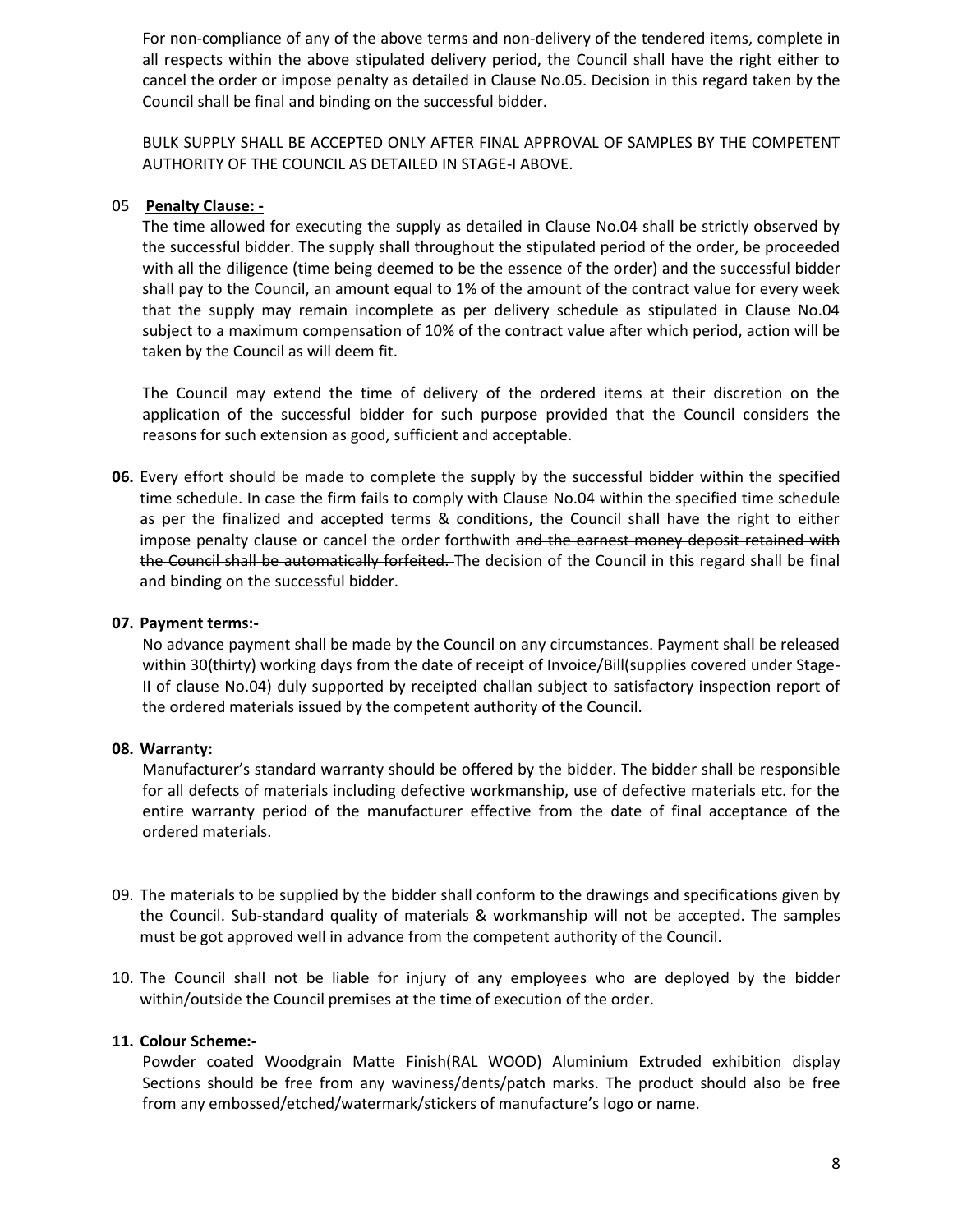For non-compliance of any of the above terms and non-delivery of the tendered items, complete in all respects within the above stipulated delivery period, the Council shall have the right either to cancel the order or impose penalty as detailed in Clause No.05. Decision in this regard taken by the Council shall be final and binding on the successful bidder.

BULK SUPPLY SHALL BE ACCEPTED ONLY AFTER FINAL APPROVAL OF SAMPLES BY THE COMPETENT AUTHORITY OF THE COUNCIL AS DETAILED IN STAGE-I ABOVE.

### 05 **Penalty Clause: -**

The time allowed for executing the supply as detailed in Clause No.04 shall be strictly observed by the successful bidder. The supply shall throughout the stipulated period of the order, be proceeded with all the diligence (time being deemed to be the essence of the order) and the successful bidder shall pay to the Council, an amount equal to 1% of the amount of the contract value for every week that the supply may remain incomplete as per delivery schedule as stipulated in Clause No.04 subject to a maximum compensation of 10% of the contract value after which period, action will be taken by the Council as will deem fit.

The Council may extend the time of delivery of the ordered items at their discretion on the application of the successful bidder for such purpose provided that the Council considers the reasons for such extension as good, sufficient and acceptable.

**06.** Every effort should be made to complete the supply by the successful bidder within the specified time schedule. In case the firm fails to comply with Clause No.04 within the specified time schedule as per the finalized and accepted terms & conditions, the Council shall have the right to either impose penalty clause or cancel the order forthwith and the earnest money deposit retained with the Council shall be automatically forfeited. The decision of the Council in this regard shall be final and binding on the successful bidder.

### **07. Payment terms:-**

No advance payment shall be made by the Council on any circumstances. Payment shall be released within 30(thirty) working days from the date of receipt of Invoice/Bill(supplies covered under Stage-II of clause No.04) duly supported by receipted challan subject to satisfactory inspection report of the ordered materials issued by the competent authority of the Council.

### **08. Warranty:**

Manufacturer's standard warranty should be offered by the bidder. The bidder shall be responsible for all defects of materials including defective workmanship, use of defective materials etc. for the entire warranty period of the manufacturer effective from the date of final acceptance of the ordered materials.

- 09. The materials to be supplied by the bidder shall conform to the drawings and specifications given by the Council. Sub-standard quality of materials & workmanship will not be accepted. The samples must be got approved well in advance from the competent authority of the Council.
- 10. The Council shall not be liable for injury of any employees who are deployed by the bidder within/outside the Council premises at the time of execution of the order.

### **11. Colour Scheme:-**

Powder coated Woodgrain Matte Finish(RAL WOOD) Aluminium Extruded exhibition display Sections should be free from any waviness/dents/patch marks. The product should also be free from any embossed/etched/watermark/stickers of manufacture's logo or name.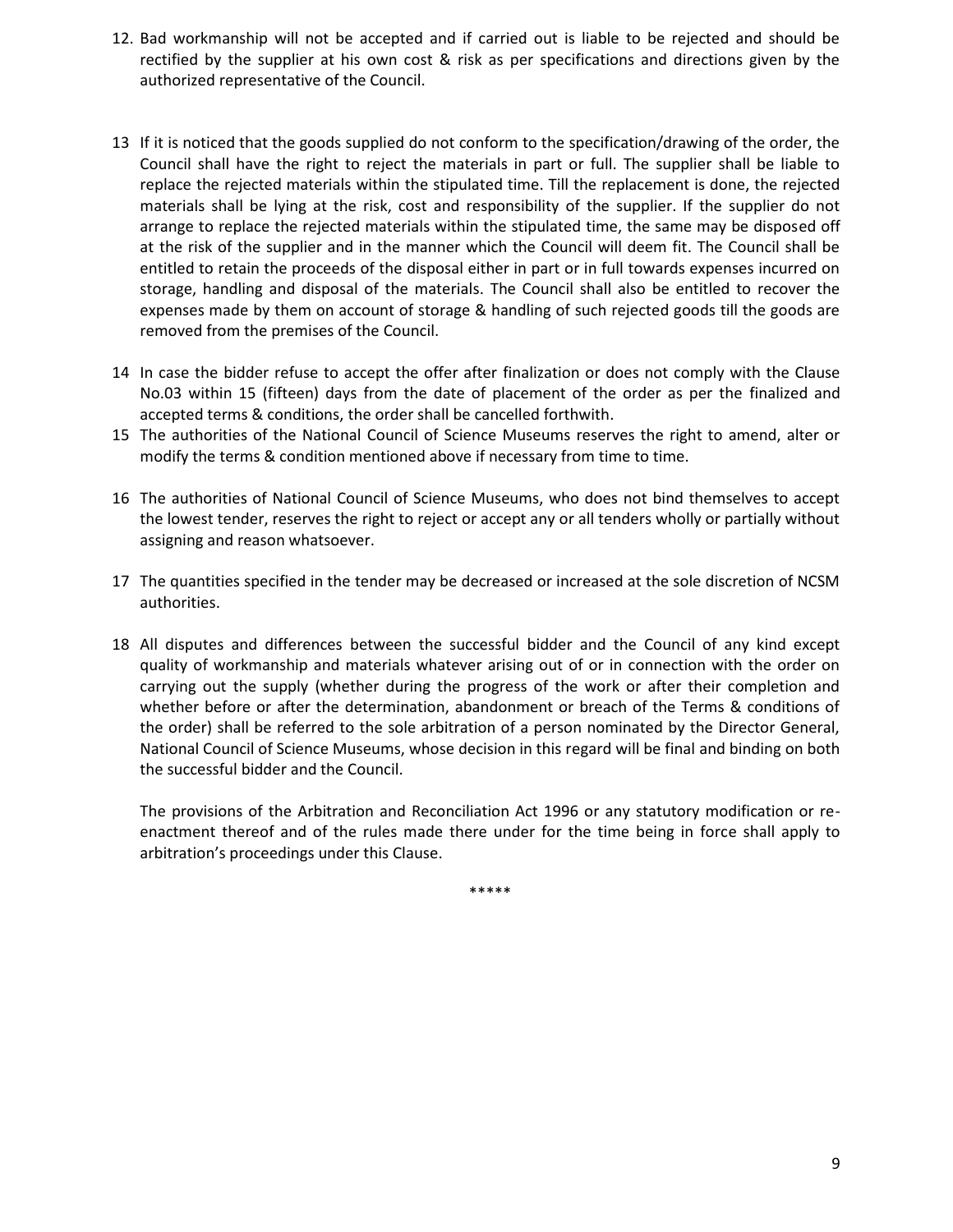- 12. Bad workmanship will not be accepted and if carried out is liable to be rejected and should be rectified by the supplier at his own cost & risk as per specifications and directions given by the authorized representative of the Council.
- 13 If it is noticed that the goods supplied do not conform to the specification/drawing of the order, the Council shall have the right to reject the materials in part or full. The supplier shall be liable to replace the rejected materials within the stipulated time. Till the replacement is done, the rejected materials shall be lying at the risk, cost and responsibility of the supplier. If the supplier do not arrange to replace the rejected materials within the stipulated time, the same may be disposed off at the risk of the supplier and in the manner which the Council will deem fit. The Council shall be entitled to retain the proceeds of the disposal either in part or in full towards expenses incurred on storage, handling and disposal of the materials. The Council shall also be entitled to recover the expenses made by them on account of storage & handling of such rejected goods till the goods are removed from the premises of the Council.
- 14 In case the bidder refuse to accept the offer after finalization or does not comply with the Clause No.03 within 15 (fifteen) days from the date of placement of the order as per the finalized and accepted terms & conditions, the order shall be cancelled forthwith.
- 15 The authorities of the National Council of Science Museums reserves the right to amend, alter or modify the terms & condition mentioned above if necessary from time to time.
- 16 The authorities of National Council of Science Museums, who does not bind themselves to accept the lowest tender, reserves the right to reject or accept any or all tenders wholly or partially without assigning and reason whatsoever.
- 17 The quantities specified in the tender may be decreased or increased at the sole discretion of NCSM authorities.
- 18 All disputes and differences between the successful bidder and the Council of any kind except quality of workmanship and materials whatever arising out of or in connection with the order on carrying out the supply (whether during the progress of the work or after their completion and whether before or after the determination, abandonment or breach of the Terms & conditions of the order) shall be referred to the sole arbitration of a person nominated by the Director General, National Council of Science Museums, whose decision in this regard will be final and binding on both the successful bidder and the Council.

The provisions of the Arbitration and Reconciliation Act 1996 or any statutory modification or re enactment thereof and of the rules made there under for the time being in force shall apply to arbitration's proceedings under this Clause.

\*\*\*\*\*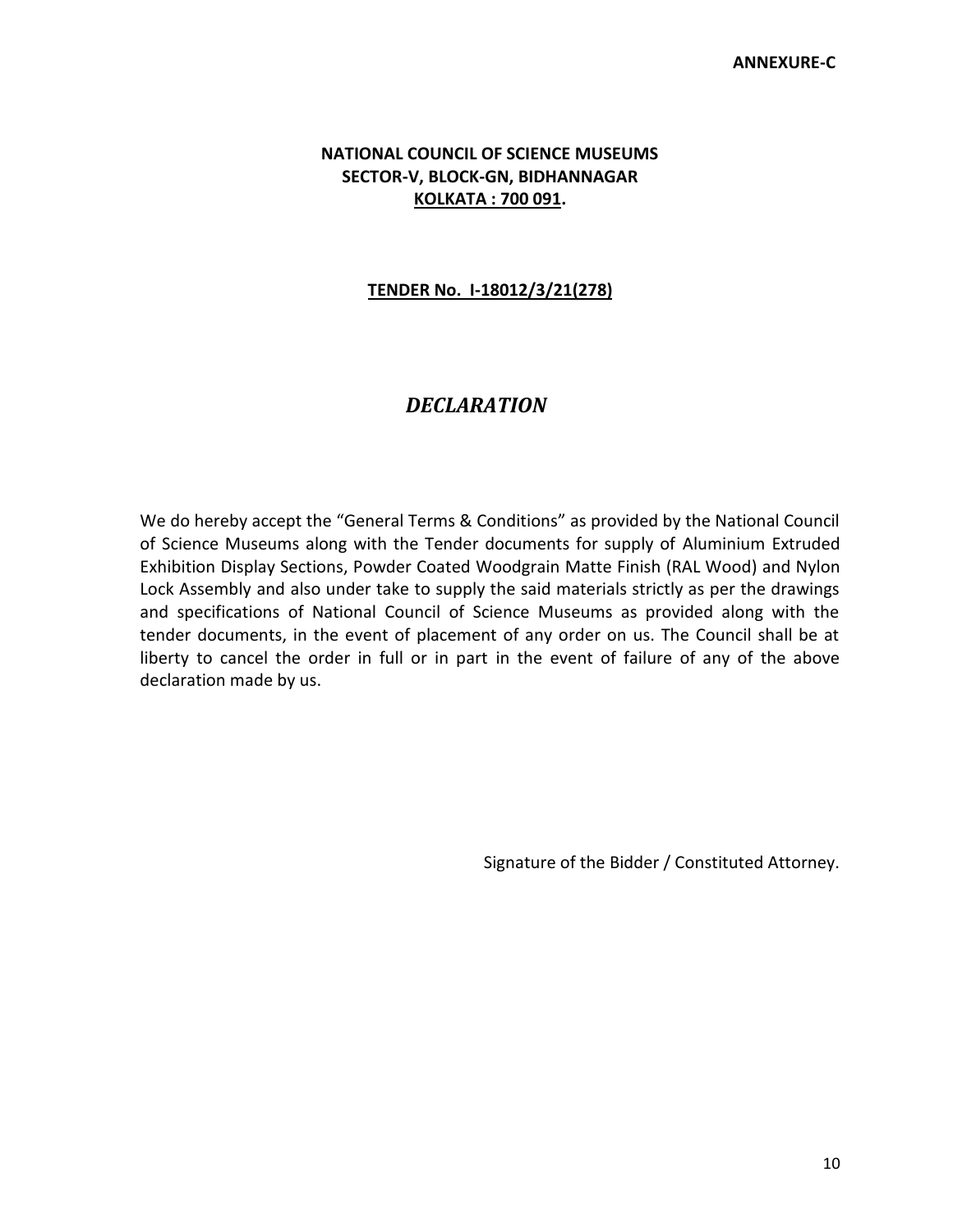## **NATIONAL COUNCIL OF SCIENCE MUSEUMS SECTOR-V, BLOCK-GN, BIDHANNAGAR KOLKATA : 700 091.**

## **TENDER No. I-18012/3/21(278)**

# *DECLARATION*

We do hereby accept the "General Terms & Conditions" as provided by the National Council of Science Museums along with the Tender documents for supply of Aluminium Extruded Exhibition Display Sections, Powder Coated Woodgrain Matte Finish (RAL Wood) and Nylon Lock Assembly and also under take to supply the said materials strictly as per the drawings and specifications of National Council of Science Museums as provided along with the tender documents, in the event of placement of any order on us. The Council shall be at liberty to cancel the order in full or in part in the event of failure of any of the above declaration made by us.

Signature of the Bidder / Constituted Attorney.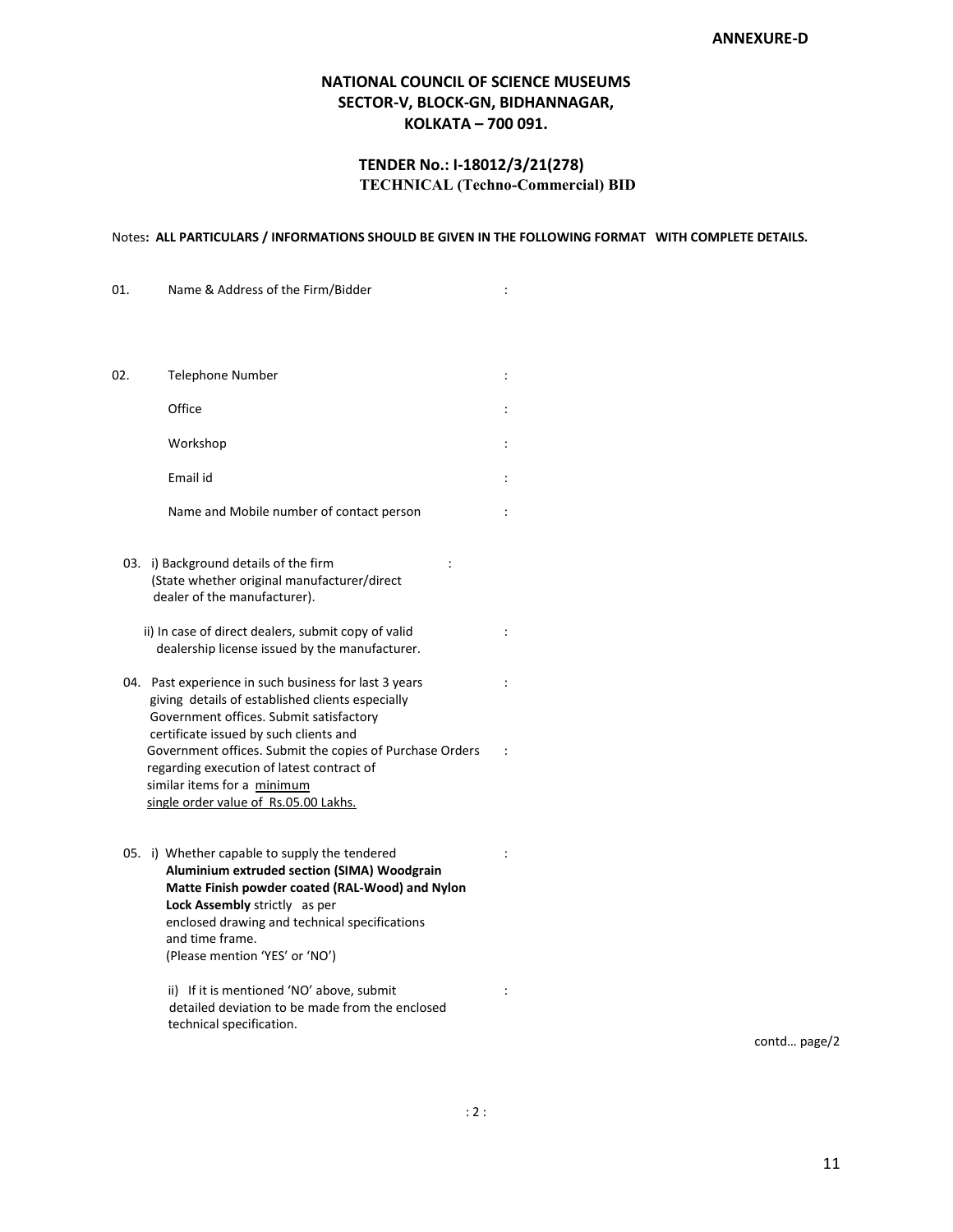### **NATIONAL COUNCIL OF SCIENCE MUSEUMS SECTOR-V, BLOCK-GN, BIDHANNAGAR, KOLKATA – 700 091.**

### **TENDER No.: I-18012/3/21(278) TECHNICAL (Techno-Commercial) BID**

#### Notes**: ALL PARTICULARS / INFORMATIONS SHOULD BE GIVEN IN THE FOLLOWING FORMAT WITH COMPLETE DETAILS.**

| 01. | Name & Address of the Firm/Bidder                                                                                                                                                                                                                                                      | $\ddot{\cdot}$ |
|-----|----------------------------------------------------------------------------------------------------------------------------------------------------------------------------------------------------------------------------------------------------------------------------------------|----------------|
|     |                                                                                                                                                                                                                                                                                        |                |
| 02. | Telephone Number                                                                                                                                                                                                                                                                       | :              |
|     | Office                                                                                                                                                                                                                                                                                 | :              |
|     | Workshop                                                                                                                                                                                                                                                                               |                |
|     | Email id                                                                                                                                                                                                                                                                               |                |
|     | Name and Mobile number of contact person                                                                                                                                                                                                                                               | $\ddot{\cdot}$ |
|     | 03. i) Background details of the firm<br>$\ddot{\cdot}$<br>(State whether original manufacturer/direct<br>dealer of the manufacturer).                                                                                                                                                 |                |
|     | ii) In case of direct dealers, submit copy of valid<br>dealership license issued by the manufacturer.                                                                                                                                                                                  | :              |
|     | 04. Past experience in such business for last 3 years<br>giving details of established clients especially<br>Government offices. Submit satisfactory<br>certificate issued by such clients and                                                                                         | $\ddot{\cdot}$ |
|     | Government offices. Submit the copies of Purchase Orders<br>regarding execution of latest contract of<br>similar items for a minimum<br>single order value of Rs.05.00 Lakhs.                                                                                                          | $\ddot{\cdot}$ |
|     | 05. i) Whether capable to supply the tendered<br>Aluminium extruded section (SIMA) Woodgrain<br>Matte Finish powder coated (RAL-Wood) and Nylon<br>Lock Assembly strictly as per<br>enclosed drawing and technical specifications<br>and time frame.<br>(Please mention 'YES' or 'NO') | :              |
|     | ii) If it is mentioned 'NO' above, submit<br>detailed deviation to be made from the enclosed<br>technical specification.                                                                                                                                                               | :              |

contd… page/2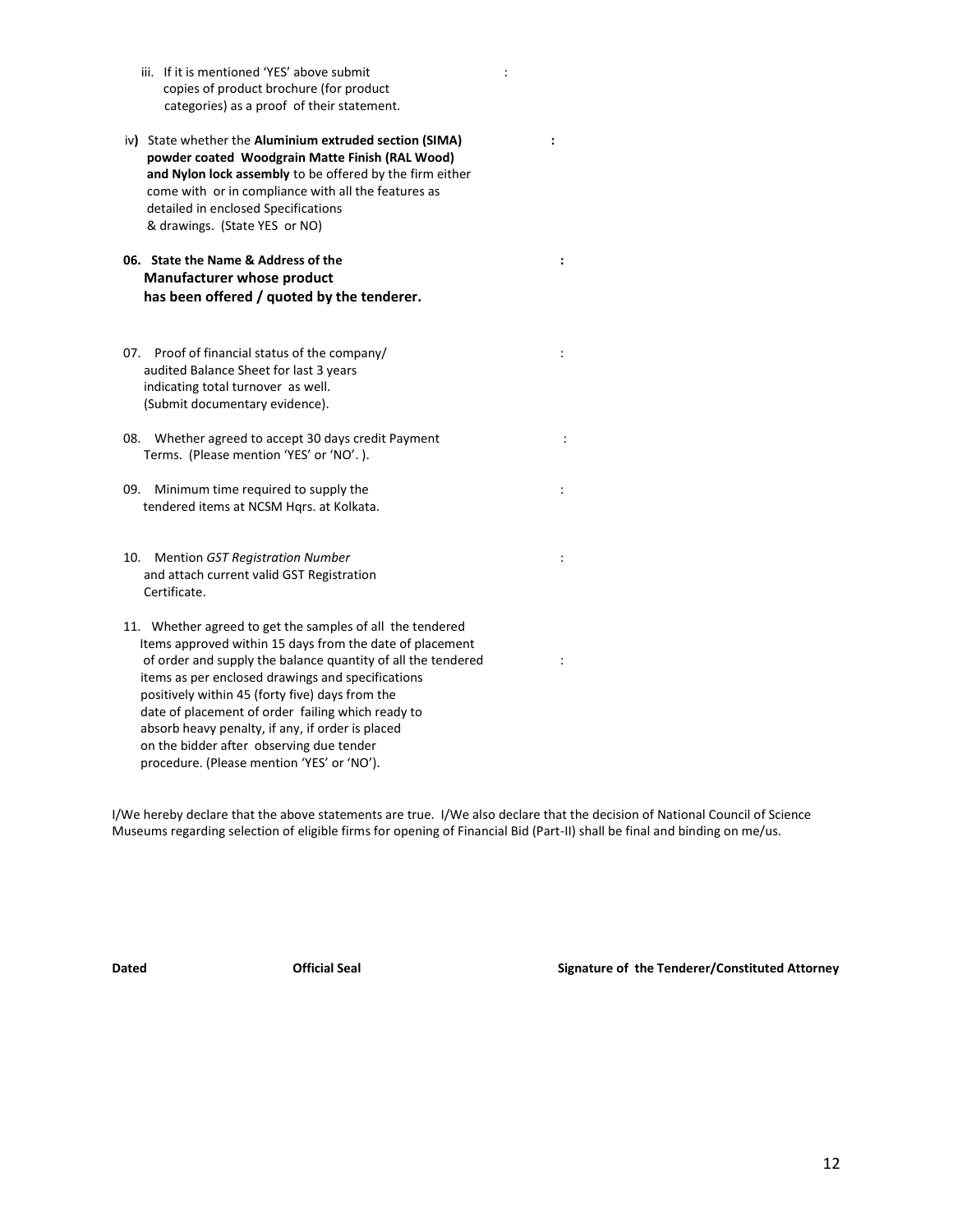- iii. If it is mentioned 'YES' above submit is a state of the state of the state of the state of the state of t copies of product brochure (for product categories) as a proof of their statement.
- iv**)** State whether the **Aluminium extruded section (SIMA) : powder coated Woodgrain Matte Finish (RAL Wood) and Nylon lock assembly** to be offered by the firm either come with or in compliance with all the features as detailed in enclosed Specifications & drawings. (State YES or NO)
- **06. State the Name & Address of the : Manufacturer whose product has been offered / quoted by the tenderer.**
- 07. Proof of financial status of the company/  $\cdot$ audited Balance Sheet for last 3 years indicating total turnover as well. (Submit documentary evidence).
- 08. Whether agreed to accept 30 days credit Payment : Terms. (Please mention 'YES' or 'NO'. ).
- 09. Minimum time required to supply the  $\cdot$ tendered items at NCSM Hqrs. at Kolkata.
- 10. Mention *GST Registration Number* : and attach current valid GST Registration Certificate.
- 11. Whether agreed to get the samples of all the tendered Items approved within 15 days from the date of placement of order and supply the balance quantity of all the tendered : items as per enclosed drawings and specifications positively within 45 (forty five) days from the date of placement of order failing which ready to absorb heavy penalty, if any, if order is placed on the bidder after observing due tender procedure. (Please mention 'YES' or 'NO').

I/We hereby declare that the above statements are true. I/We also declare that the decision of National Council of Science Museums regarding selection of eligible firms for opening of Financial Bid (Part-II) shall be final and binding on me/us.

**Dated Official Seal Signature of the Tenderer/Constituted Attorney**